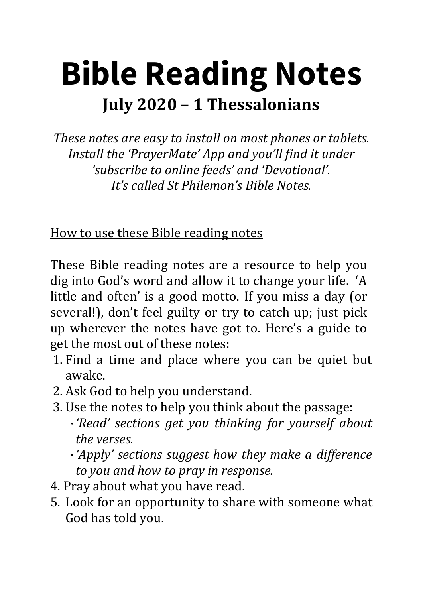# **Bible Reading Notes July 2020 – 1 Thessalonians**

*These notes are easy to install on most phones or tablets. Install the 'PrayerMate' App and you'll find it under 'subscribe to online feeds' and 'Devotional'. It's called St Philemon's Bible Notes.* 

How to use these Bible reading notes

These Bible reading notes are a resource to help you dig into God's word and allow it to change your life. 'A little and often' is a good motto. If you miss a day (or several!), don't feel guilty or try to catch up; just pick up wherever the notes have got to. Here's a guide to get the most out of these notes:

- 1. Find a time and place where you can be quiet but awake.
- 2. Ask God to help you understand.
- 3. Use the notes to help you think about the passage:
	- ·*'Read' sections get you thinking for yourself about the verses.*

·*'Apply' sections suggest how they make a difference to you and how to pray in response.*

- 4. Pray about what you have read.
- 5. Look for an opportunity to share with someone what God has told you.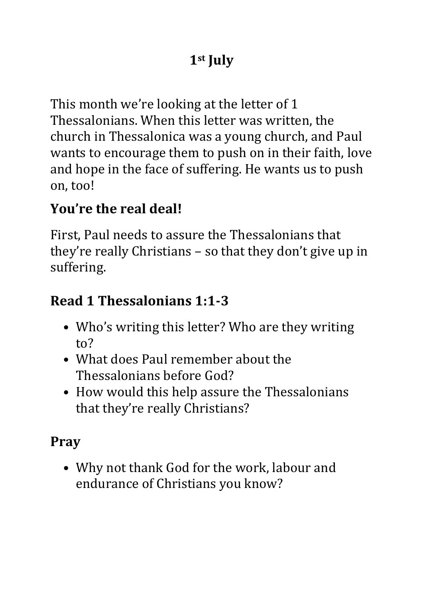### **1st July**

This month we're looking at the letter of 1 Thessalonians. When this letter was written, the church in Thessalonica was a young church, and Paul wants to encourage them to push on in their faith, love and hope in the face of suffering. He wants us to push on, too!

#### **You're the real deal!**

First, Paul needs to assure the Thessalonians that they're really Christians – so that they don't give up in suffering.

#### **Read 1 Thessalonians 1:1-3**

- Who's writing this letter? Who are they writing to?
- What does Paul remember about the Thessalonians before God?
- How would this help assure the Thessalonians that they're really Christians?

### **Pray**

• Why not thank God for the work, labour and endurance of Christians you know?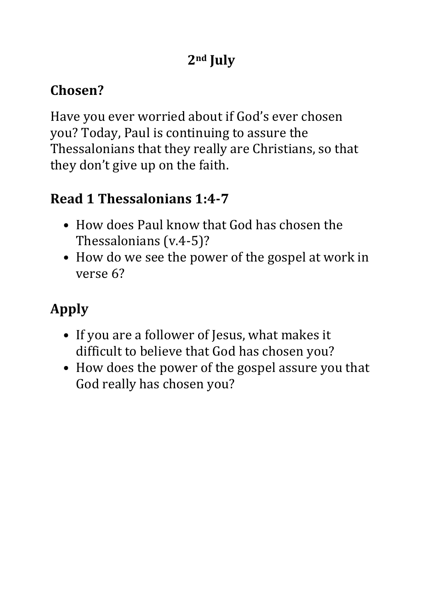### **2nd July**

### **Chosen?**

Have you ever worried about if God's ever chosen you? Today, Paul is continuing to assure the Thessalonians that they really are Christians, so that they don't give up on the faith.

#### **Read 1 Thessalonians 1:4-7**

- How does Paul know that God has chosen the Thessalonians (v.4-5)?
- How do we see the power of the gospel at work in verse 6?

- If you are a follower of Jesus, what makes it difficult to believe that God has chosen you?
- How does the power of the gospel assure you that God really has chosen you?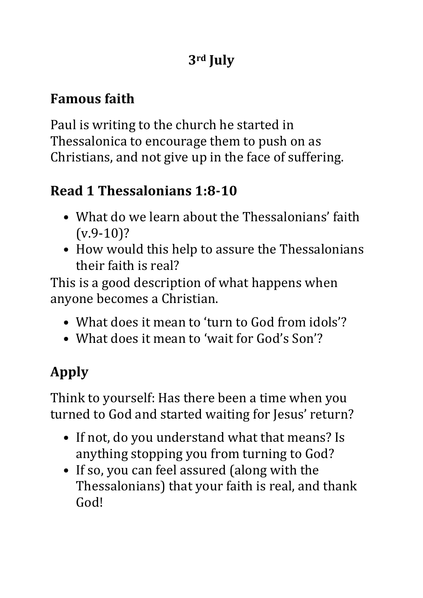### **3rd July**

### **Famous faith**

Paul is writing to the church he started in Thessalonica to encourage them to push on as Christians, and not give up in the face of suffering.

### **Read 1 Thessalonians 1:8-10**

- What do we learn about the Thessalonians' faith  $(v.9-10)?$
- How would this help to assure the Thessalonians their faith is real?

This is a good description of what happens when anyone becomes a Christian.

- What does it mean to 'turn to God from idols'?
- What does it mean to 'wait for God's Son'?

# **Apply**

Think to yourself: Has there been a time when you turned to God and started waiting for Jesus' return?

- If not, do you understand what that means? Is anything stopping you from turning to God?
- If so, you can feel assured (along with the Thessalonians) that your faith is real, and thank God!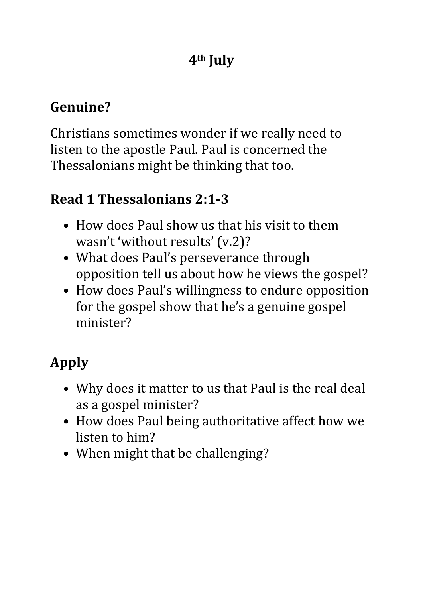#### **Genuine?**

Christians sometimes wonder if we really need to listen to the apostle Paul. Paul is concerned the Thessalonians might be thinking that too.

#### **Read 1 Thessalonians 2:1-3**

- How does Paul show us that his visit to them wasn't 'without results' (v.2)?
- What does Paul's perseverance through opposition tell us about how he views the gospel?
- How does Paul's willingness to endure opposition for the gospel show that he's a genuine gospel minister?

- Why does it matter to us that Paul is the real deal as a gospel minister?
- How does Paul being authoritative affect how we listen to him?
- When might that be challenging?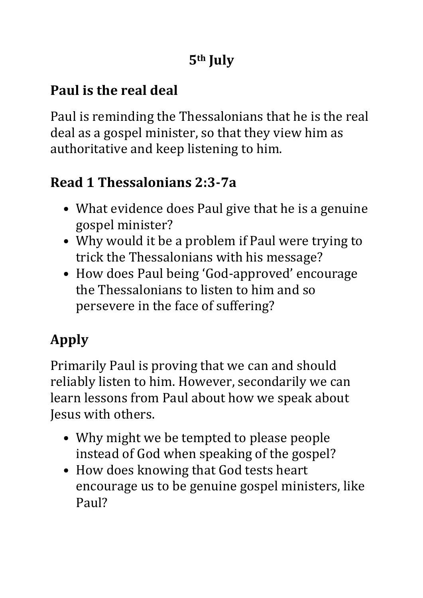### **Paul is the real deal**

Paul is reminding the Thessalonians that he is the real deal as a gospel minister, so that they view him as authoritative and keep listening to him.

### **Read 1 Thessalonians 2:3-7a**

- What evidence does Paul give that he is a genuine gospel minister?
- Why would it be a problem if Paul were trying to trick the Thessalonians with his message?
- How does Paul being 'God-approved' encourage the Thessalonians to listen to him and so persevere in the face of suffering?

# **Apply**

Primarily Paul is proving that we can and should reliably listen to him. However, secondarily we can learn lessons from Paul about how we speak about Jesus with others.

- Why might we be tempted to please people instead of God when speaking of the gospel?
- How does knowing that God tests heart encourage us to be genuine gospel ministers, like Paul?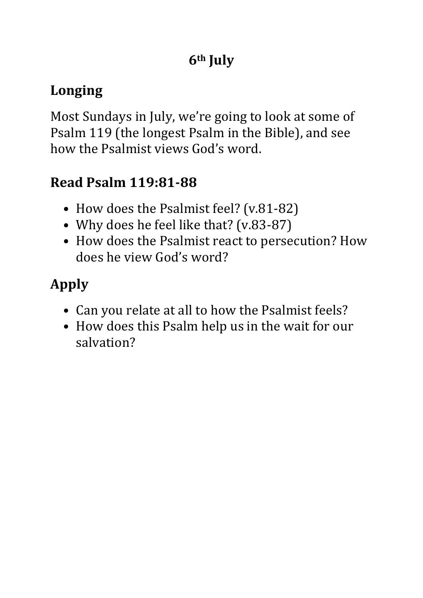# **Longing**

Most Sundays in July, we're going to look at some of Psalm 119 (the longest Psalm in the Bible), and see how the Psalmist views God's word.

# **Read Psalm 119:81-88**

- How does the Psalmist feel? (v.81-82)
- Why does he feel like that? (v.83-87)
- How does the Psalmist react to persecution? How does he view God's word?

- Can you relate at all to how the Psalmist feels?
- How does this Psalm help us in the wait for our salvation?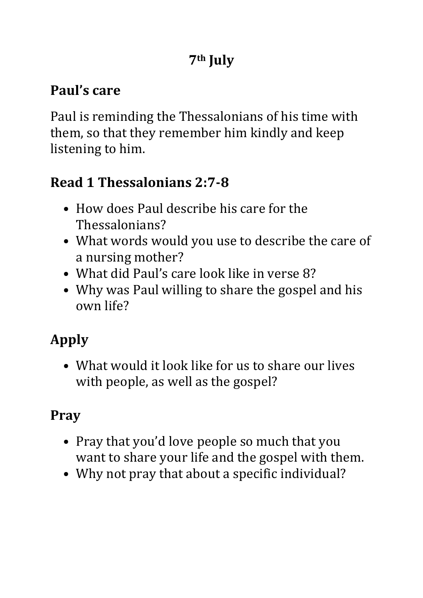# **Paul's care**

Paul is reminding the Thessalonians of his time with them, so that they remember him kindly and keep listening to him.

### **Read 1 Thessalonians 2:7-8**

- How does Paul describe his care for the Thessalonians?
- What words would you use to describe the care of a nursing mother?
- What did Paul's care look like in verse 8?
- Why was Paul willing to share the gospel and his own life?

# **Apply**

• What would it look like for us to share our lives with people, as well as the gospel?

# **Pray**

- Pray that you'd love people so much that you want to share your life and the gospel with them.
- Why not pray that about a specific individual?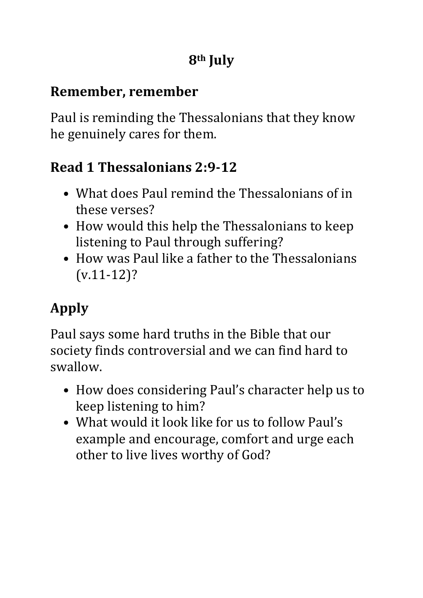#### **Remember, remember**

Paul is reminding the Thessalonians that they know he genuinely cares for them.

### **Read 1 Thessalonians 2:9-12**

- What does Paul remind the Thessalonians of in these verses?
- How would this help the Thessalonians to keep listening to Paul through suffering?
- How was Paul like a father to the Thessalonians (v.11-12)?

# **Apply**

Paul says some hard truths in the Bible that our society finds controversial and we can find hard to swallow.

- How does considering Paul's character help us to keep listening to him?
- What would it look like for us to follow Paul's example and encourage, comfort and urge each other to live lives worthy of God?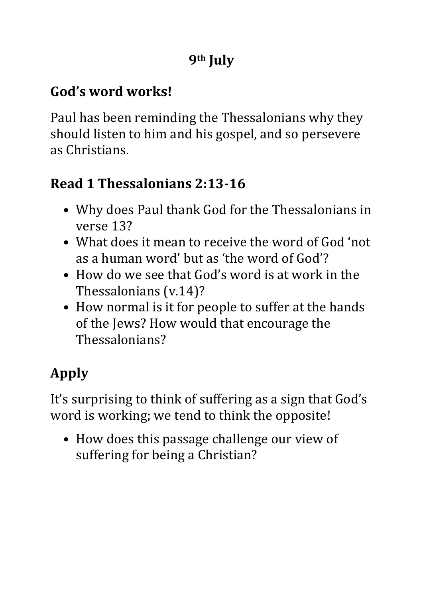#### **God's word works!**

Paul has been reminding the Thessalonians why they should listen to him and his gospel, and so persevere as Christians.

### **Read 1 Thessalonians 2:13-16**

- Why does Paul thank God for the Thessalonians in verse 13?
- What does it mean to receive the word of God 'not as a human word' but as 'the word of God'?
- How do we see that God's word is at work in the Thessalonians (v.14)?
- How normal is it for people to suffer at the hands of the Jews? How would that encourage the Thessalonians?

# **Apply**

It's surprising to think of suffering as a sign that God's word is working; we tend to think the opposite!

• How does this passage challenge our view of suffering for being a Christian?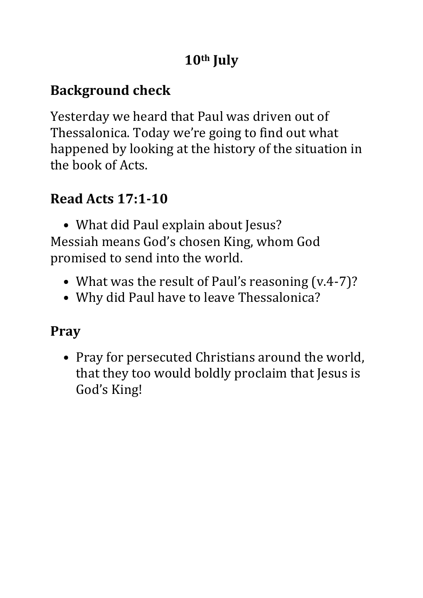### **Background check**

Yesterday we heard that Paul was driven out of Thessalonica. Today we're going to find out what happened by looking at the history of the situation in the book of Acts.

### **Read Acts 17:1-10**

• What did Paul explain about Jesus? Messiah means God's chosen King, whom God promised to send into the world.

- What was the result of Paul's reasoning (v.4-7)?
- Why did Paul have to leave Thessalonica?

### **Pray**

• Pray for persecuted Christians around the world, that they too would boldly proclaim that Jesus is God's King!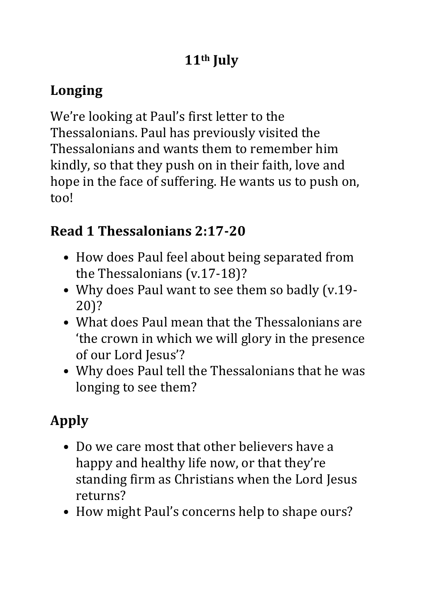### **Longing**

We're looking at Paul's first letter to the Thessalonians. Paul has previously visited the Thessalonians and wants them to remember him kindly, so that they push on in their faith, love and hope in the face of suffering. He wants us to push on, too!

#### **Read 1 Thessalonians 2:17-20**

- How does Paul feel about being separated from the Thessalonians (v.17-18)?
- Why does Paul want to see them so badly (v.19- 20)?
- What does Paul mean that the Thessalonians are 'the crown in which we will glory in the presence of our Lord Jesus'?
- Why does Paul tell the Thessalonians that he was longing to see them?

- Do we care most that other believers have a happy and healthy life now, or that they're standing firm as Christians when the Lord Jesus returns?
- How might Paul's concerns help to shape ours?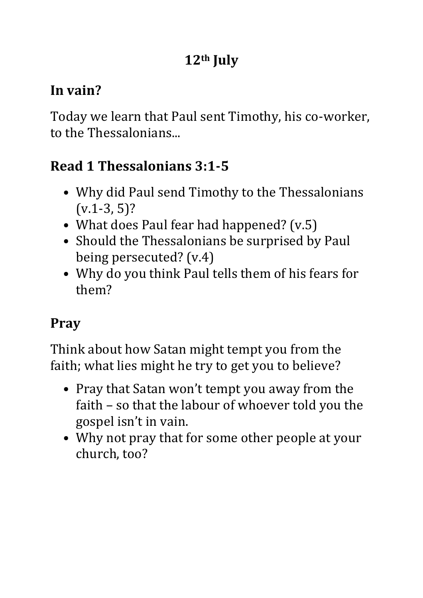### **In vain?**

Today we learn that Paul sent Timothy, his co-worker, to the Thessalonians...

# **Read 1 Thessalonians 3:1-5**

- Why did Paul send Timothy to the Thessalonians  $(v.1-3, 5)?$
- What does Paul fear had happened? (v.5)
- Should the Thessalonians be surprised by Paul being persecuted? (v.4)
- Why do you think Paul tells them of his fears for them?

### **Pray**

Think about how Satan might tempt you from the faith; what lies might he try to get you to believe?

- Pray that Satan won't tempt you away from the faith – so that the labour of whoever told you the gospel isn't in vain.
- Why not pray that for some other people at your church, too?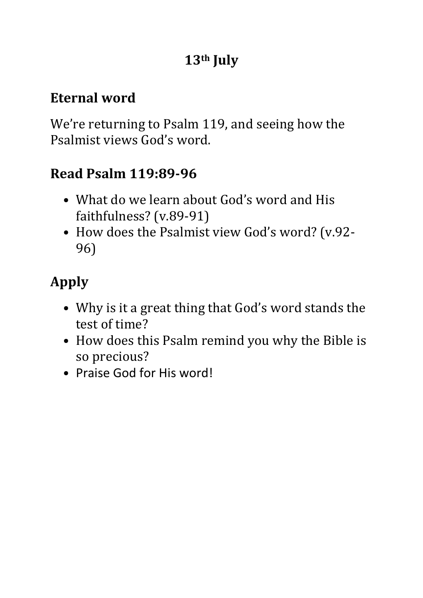### **Eternal word**

We're returning to Psalm 119, and seeing how the Psalmist views God's word.

### **Read Psalm 119:89-96**

- What do we learn about God's word and His faithfulness? (v.89-91)
- How does the Psalmist view God's word? (v.92- 96)

- Why is it a great thing that God's word stands the test of time?
- How does this Psalm remind you why the Bible is so precious?
- Praise God for His word!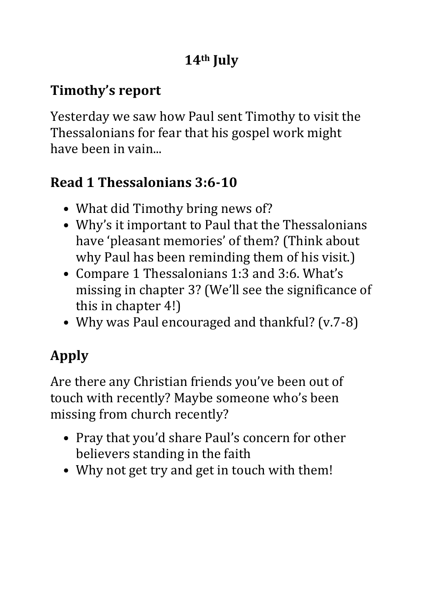# **Timothy's report**

Yesterday we saw how Paul sent Timothy to visit the Thessalonians for fear that his gospel work might have been in vain...

### **Read 1 Thessalonians 3:6-10**

- What did Timothy bring news of?
- Why's it important to Paul that the Thessalonians have 'pleasant memories' of them? (Think about why Paul has been reminding them of his visit.)
- Compare 1 Thessalonians 1:3 and 3:6. What's missing in chapter 3? (We'll see the significance of this in chapter 4!)
- Why was Paul encouraged and thankful? (v.7-8)

# **Apply**

Are there any Christian friends you've been out of touch with recently? Maybe someone who's been missing from church recently?

- Pray that you'd share Paul's concern for other believers standing in the faith
- Why not get try and get in touch with them!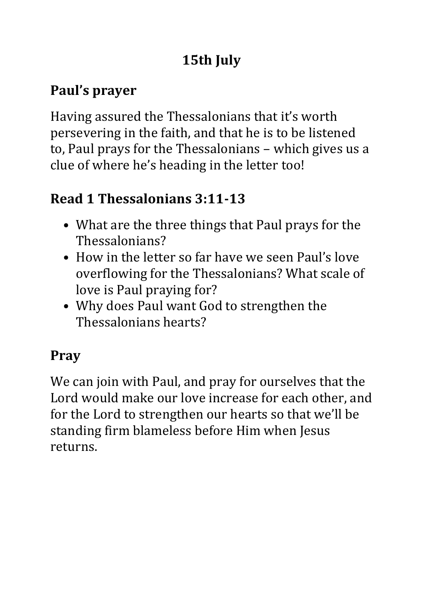### **Paul's prayer**

Having assured the Thessalonians that it's worth persevering in the faith, and that he is to be listened to, Paul prays for the Thessalonians – which gives us a clue of where he's heading in the letter too!

#### **Read 1 Thessalonians 3:11-13**

- What are the three things that Paul prays for the Thessalonians?
- How in the letter so far have we seen Paul's love overflowing for the Thessalonians? What scale of love is Paul praying for?
- Why does Paul want God to strengthen the Thessalonians hearts?

### **Pray**

We can join with Paul, and pray for ourselves that the Lord would make our love increase for each other, and for the Lord to strengthen our hearts so that we'll be standing firm blameless before Him when Jesus returns.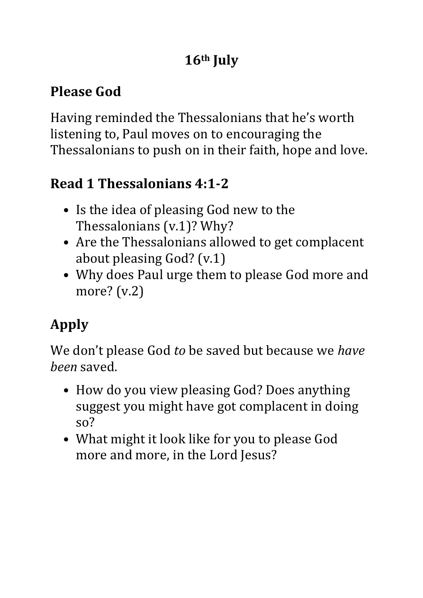# **Please God**

Having reminded the Thessalonians that he's worth listening to, Paul moves on to encouraging the Thessalonians to push on in their faith, hope and love.

### **Read 1 Thessalonians 4:1-2**

- Is the idea of pleasing God new to the Thessalonians (v.1)? Why?
- Are the Thessalonians allowed to get complacent about pleasing God? (v.1)
- Why does Paul urge them to please God more and more? (v.2)

# **Apply**

We don't please God *to* be saved but because we *have been* saved.

- How do you view pleasing God? Does anything suggest you might have got complacent in doing so?
- What might it look like for you to please God more and more, in the Lord Jesus?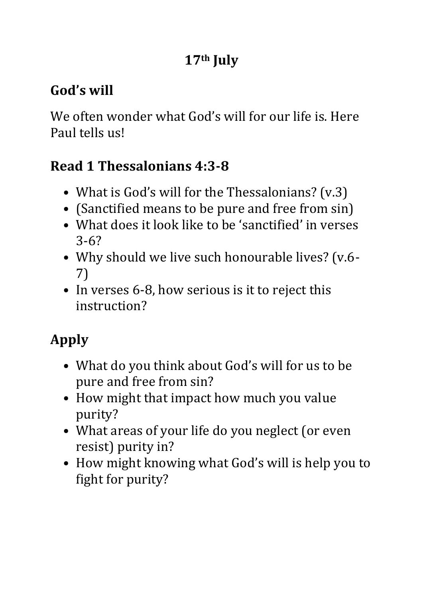# **God's will**

We often wonder what God's will for our life is. Here Paul tells us!

### **Read 1 Thessalonians 4:3-8**

- What is God's will for the Thessalonians? (v.3)
- (Sanctified means to be pure and free from sin)
- What does it look like to be 'sanctified' in verses 3-6?
- Why should we live such honourable lives? (v.6- 7)
- In verses 6-8, how serious is it to reject this instruction?

- What do you think about God's will for us to be pure and free from sin?
- How might that impact how much you value purity?
- What areas of your life do you neglect (or even resist) purity in?
- How might knowing what God's will is help you to fight for purity?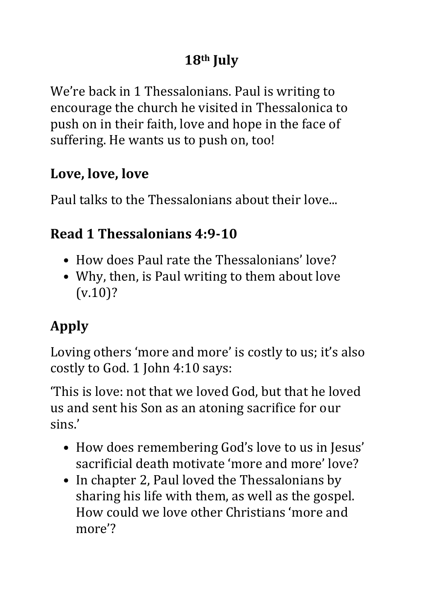We're back in 1 Thessalonians. Paul is writing to encourage the church he visited in Thessalonica to push on in their faith, love and hope in the face of suffering. He wants us to push on, too!

#### **Love, love, love**

Paul talks to the Thessalonians about their love...

### **Read 1 Thessalonians 4:9-10**

- How does Paul rate the Thessalonians' love?
- Why, then, is Paul writing to them about love (v.10)?

# **Apply**

Loving others 'more and more' is costly to us; it's also costly to God. 1 John 4:10 says:

'This is love: not that we loved God, but that he loved us and sent his Son as an atoning sacrifice for our sins.'

- How does remembering God's love to us in Jesus' sacrificial death motivate 'more and more' love?
- In chapter 2, Paul loved the Thessalonians by sharing his life with them, as well as the gospel. How could we love other Christians 'more and more'?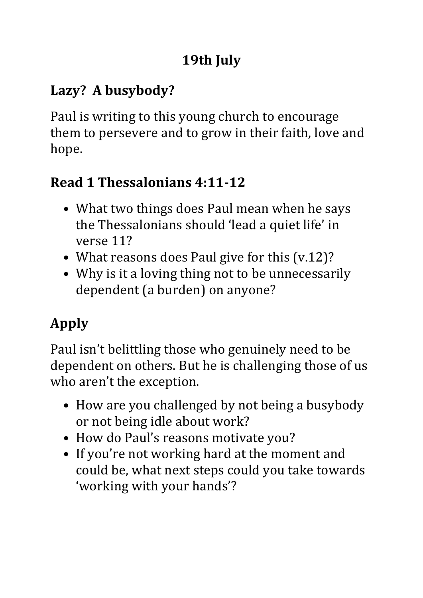### **Lazy? A busybody?**

Paul is writing to this young church to encourage them to persevere and to grow in their faith, love and hope.

### **Read 1 Thessalonians 4:11-12**

- What two things does Paul mean when he says the Thessalonians should 'lead a quiet life' in verse 11?
- What reasons does Paul give for this (v.12)?
- Why is it a loving thing not to be unnecessarily dependent (a burden) on anyone?

# **Apply**

Paul isn't belittling those who genuinely need to be dependent on others. But he is challenging those of us who aren't the exception.

- How are you challenged by not being a busybody or not being idle about work?
- How do Paul's reasons motivate you?
- If you're not working hard at the moment and could be, what next steps could you take towards 'working with your hands'?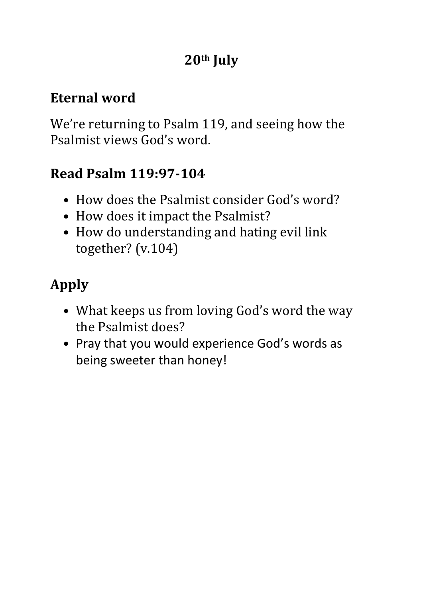#### **Eternal word**

We're returning to Psalm 119, and seeing how the Psalmist views God's word.

#### **Read Psalm 119:97-104**

- How does the Psalmist consider God's word?
- How does it impact the Psalmist?
- How do understanding and hating evil link together? (v.104)

- What keeps us from loving God's word the way the Psalmist does?
- Pray that you would experience God's words as being sweeter than honey!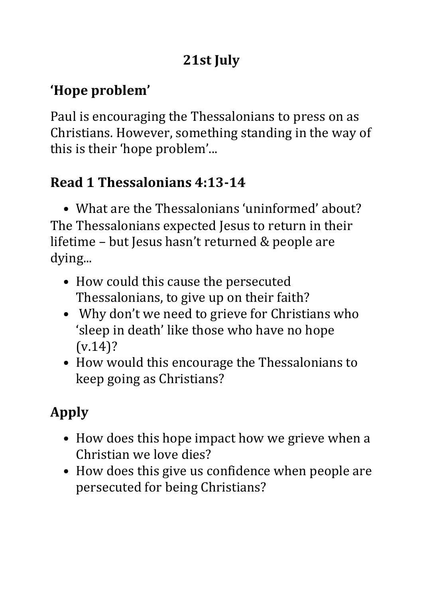# **21st July**

# **'Hope problem'**

Paul is encouraging the Thessalonians to press on as Christians. However, something standing in the way of this is their 'hope problem'...

### **Read 1 Thessalonians 4:13-14**

• What are the Thessalonians 'uninformed' about? The Thessalonians expected Jesus to return in their lifetime – but Jesus hasn't returned & people are dying...

- How could this cause the persecuted Thessalonians, to give up on their faith?
- Why don't we need to grieve for Christians who 'sleep in death' like those who have no hope  $(v.14)$ ?
- How would this encourage the Thessalonians to keep going as Christians?

- How does this hope impact how we grieve when a Christian we love dies?
- How does this give us confidence when people are persecuted for being Christians?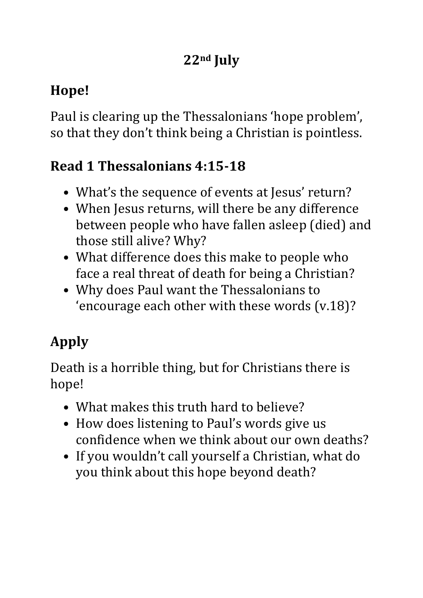# **22nd July**

# **Hope!**

Paul is clearing up the Thessalonians 'hope problem', so that they don't think being a Christian is pointless.

### **Read 1 Thessalonians 4:15-18**

- What's the sequence of events at Jesus' return?
- When Jesus returns, will there be any difference between people who have fallen asleep (died) and those still alive? Why?
- What difference does this make to people who face a real threat of death for being a Christian?
- Why does Paul want the Thessalonians to 'encourage each other with these words (v.18)?

# **Apply**

Death is a horrible thing, but for Christians there is hope!

- What makes this truth hard to believe?
- How does listening to Paul's words give us confidence when we think about our own deaths?
- If you wouldn't call yourself a Christian, what do you think about this hope beyond death?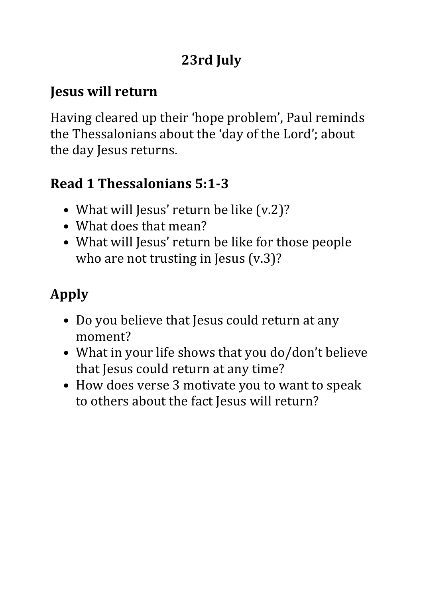# **23rd July**

#### **Jesus will return**

Having cleared up their 'hope problem', Paul reminds the Thessalonians about the 'day of the Lord'; about the day Jesus returns.

### **Read 1 Thessalonians 5:1-3**

- What will Jesus' return be like (v.2)?
- What does that mean?
- What will Jesus' return be like for those people who are not trusting in Jesus (v.3)?

- Do you believe that Jesus could return at any moment?
- What in your life shows that you do/don't believe that Jesus could return at any time?
- How does verse 3 motivate you to want to speak to others about the fact Jesus will return?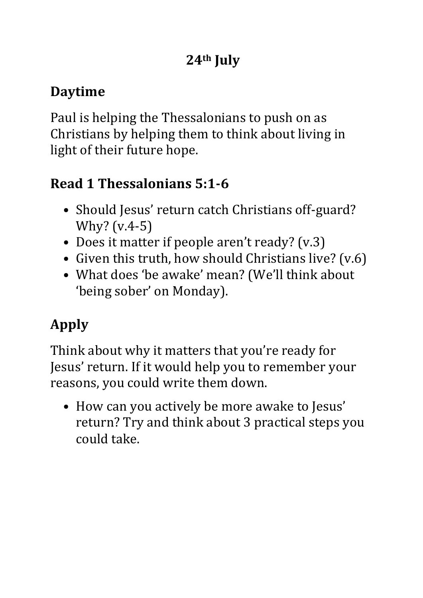### **Daytime**

Paul is helping the Thessalonians to push on as Christians by helping them to think about living in light of their future hope.

# **Read 1 Thessalonians 5:1-6**

- Should Jesus' return catch Christians off-guard? Why? (v.4-5)
- Does it matter if people aren't ready? (v.3)
- Given this truth, how should Christians live? (v.6)
- What does 'be awake' mean? (We'll think about 'being sober' on Monday).

# **Apply**

Think about why it matters that you're ready for Jesus' return. If it would help you to remember your reasons, you could write them down.

• How can you actively be more awake to Jesus' return? Try and think about 3 practical steps you could take.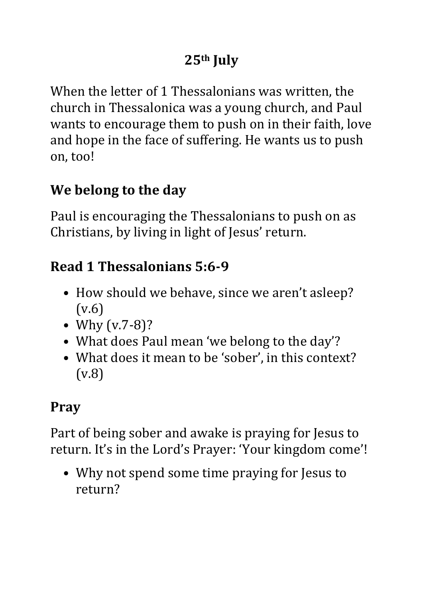When the letter of 1 Thessalonians was written, the church in Thessalonica was a young church, and Paul wants to encourage them to push on in their faith, love and hope in the face of suffering. He wants us to push on, too!

### **We belong to the day**

Paul is encouraging the Thessalonians to push on as Christians, by living in light of Jesus' return.

### **Read 1 Thessalonians 5:6-9**

- How should we behave, since we aren't asleep? (v.6)
- Why (v.7-8)?
- What does Paul mean 'we belong to the day'?
- What does it mean to be 'sober', in this context? (v.8)

### **Pray**

Part of being sober and awake is praying for Jesus to return. It's in the Lord's Prayer: 'Your kingdom come'!

• Why not spend some time praying for Jesus to return?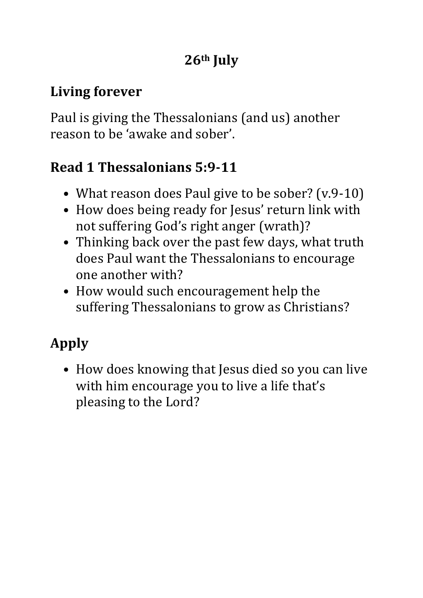#### **Living forever**

Paul is giving the Thessalonians (and us) another reason to be 'awake and sober'.

### **Read 1 Thessalonians 5:9-11**

- What reason does Paul give to be sober? (v.9-10)
- How does being ready for Jesus' return link with not suffering God's right anger (wrath)?
- Thinking back over the past few days, what truth does Paul want the Thessalonians to encourage one another with?
- How would such encouragement help the suffering Thessalonians to grow as Christians?

# **Apply**

• How does knowing that Jesus died so you can live with him encourage you to live a life that's pleasing to the Lord?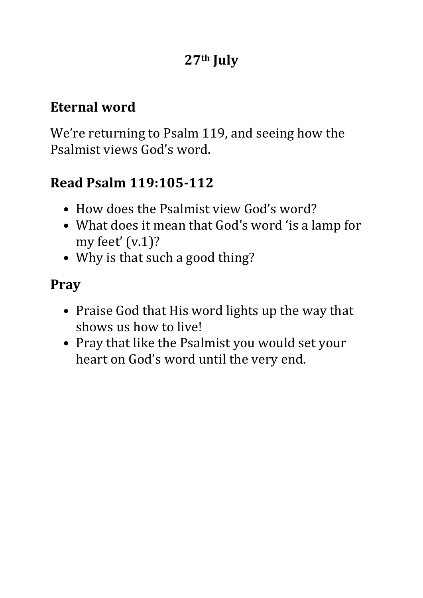#### **Eternal word**

We're returning to Psalm 119, and seeing how the Psalmist views God's word.

### **Read Psalm 119:105-112**

- How does the Psalmist view God's word?
- What does it mean that God's word 'is a lamp for my feet' (v.1)?
- Why is that such a good thing?

#### **Pray**

- Praise God that His word lights up the way that shows us how to live!
- Pray that like the Psalmist you would set your heart on God's word until the very end.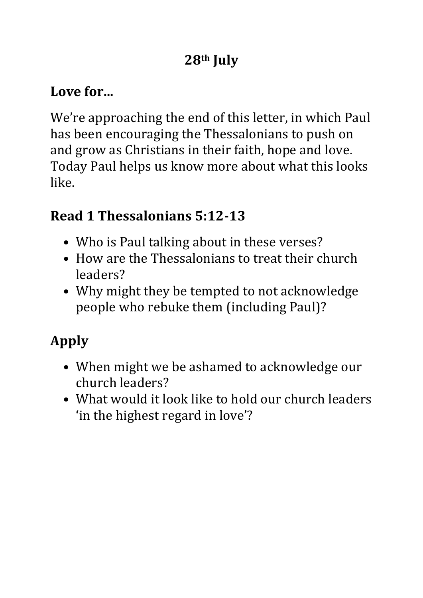### **Love for...**

We're approaching the end of this letter, in which Paul has been encouraging the Thessalonians to push on and grow as Christians in their faith, hope and love. Today Paul helps us know more about what this looks like.

### **Read 1 Thessalonians 5:12-13**

- Who is Paul talking about in these verses?
- How are the Thessalonians to treat their church leaders?
- Why might they be tempted to not acknowledge people who rebuke them (including Paul)?

- When might we be ashamed to acknowledge our church leaders?
- What would it look like to hold our church leaders 'in the highest regard in love'?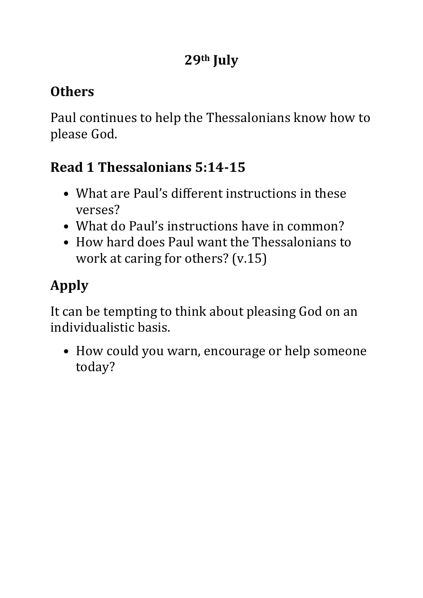### **Others**

Paul continues to help the Thessalonians know how to please God.

### **Read 1 Thessalonians 5:14-15**

- What are Paul's different instructions in these verses?
- What do Paul's instructions have in common?
- How hard does Paul want the Thessalonians to work at caring for others? (v.15)

# **Apply**

It can be tempting to think about pleasing God on an individualistic basis.

• How could you warn, encourage or help someone today?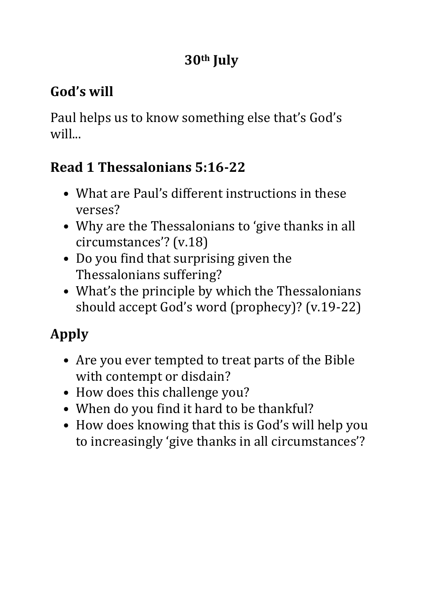### **God's will**

Paul helps us to know something else that's God's will...

### **Read 1 Thessalonians 5:16-22**

- What are Paul's different instructions in these verses?
- Why are the Thessalonians to 'give thanks in all circumstances'? (v.18)
- Do you find that surprising given the Thessalonians suffering?
- What's the principle by which the Thessalonians should accept God's word (prophecy)? (v.19-22)

- Are you ever tempted to treat parts of the Bible with contempt or disdain?
- How does this challenge you?
- When do you find it hard to be thankful?
- How does knowing that this is God's will help you to increasingly 'give thanks in all circumstances'?